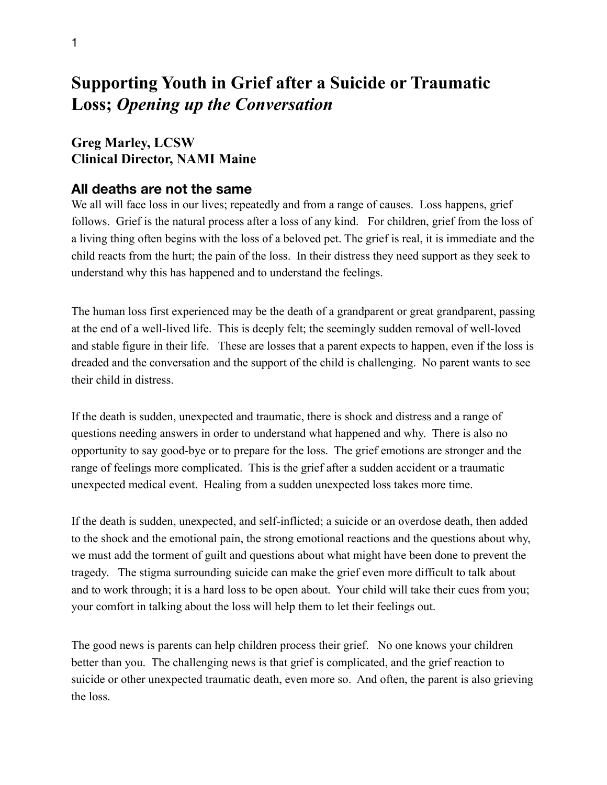# **Supporting Youth in Grief after a Suicide or Traumatic Loss;** *Opening up the Conversation*

#### **Greg Marley, LCSW Clinical Director, NAMI Maine**

#### **All deaths are not the same**

We all will face loss in our lives; repeatedly and from a range of causes. Loss happens, grief follows. Grief is the natural process after a loss of any kind. For children, grief from the loss of a living thing often begins with the loss of a beloved pet. The grief is real, it is immediate and the child reacts from the hurt; the pain of the loss. In their distress they need support as they seek to understand why this has happened and to understand the feelings.

The human loss first experienced may be the death of a grandparent or great grandparent, passing at the end of a well-lived life. This is deeply felt; the seemingly sudden removal of well-loved and stable figure in their life. These are losses that a parent expects to happen, even if the loss is dreaded and the conversation and the support of the child is challenging. No parent wants to see their child in distress.

If the death is sudden, unexpected and traumatic, there is shock and distress and a range of questions needing answers in order to understand what happened and why. There is also no opportunity to say good-bye or to prepare for the loss. The grief emotions are stronger and the range of feelings more complicated. This is the grief after a sudden accident or a traumatic unexpected medical event. Healing from a sudden unexpected loss takes more time.

If the death is sudden, unexpected, and self-inflicted; a suicide or an overdose death, then added to the shock and the emotional pain, the strong emotional reactions and the questions about why, we must add the torment of guilt and questions about what might have been done to prevent the tragedy. The stigma surrounding suicide can make the grief even more difficult to talk about and to work through; it is a hard loss to be open about. Your child will take their cues from you; your comfort in talking about the loss will help them to let their feelings out.

The good news is parents can help children process their grief. No one knows your children better than you. The challenging news is that grief is complicated, and the grief reaction to suicide or other unexpected traumatic death, even more so. And often, the parent is also grieving the loss.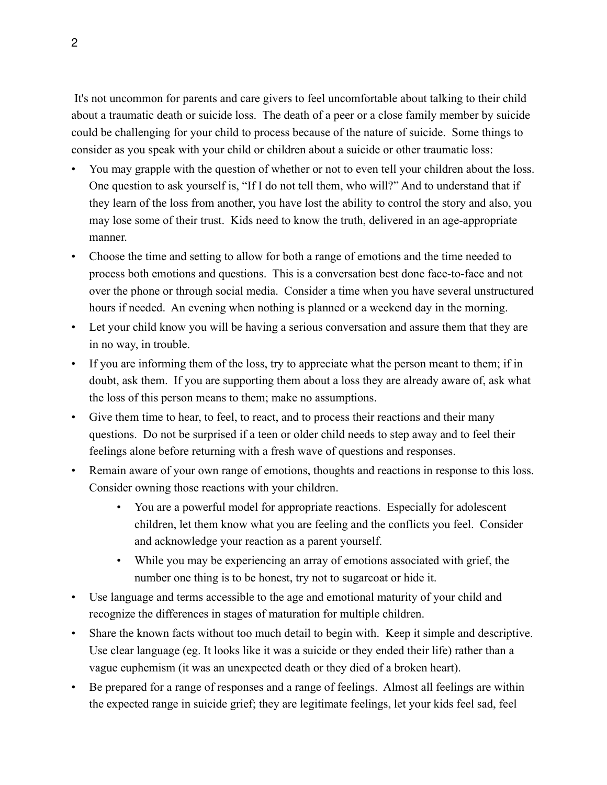It's not uncommon for parents and care givers to feel uncomfortable about talking to their child about a traumatic death or suicide loss. The death of a peer or a close family member by suicide could be challenging for your child to process because of the nature of suicide. Some things to consider as you speak with your child or children about a suicide or other traumatic loss:

- You may grapple with the question of whether or not to even tell your children about the loss. One question to ask yourself is, "If I do not tell them, who will?" And to understand that if they learn of the loss from another, you have lost the ability to control the story and also, you may lose some of their trust. Kids need to know the truth, delivered in an age-appropriate manner.
- Choose the time and setting to allow for both a range of emotions and the time needed to process both emotions and questions. This is a conversation best done face-to-face and not over the phone or through social media. Consider a time when you have several unstructured hours if needed. An evening when nothing is planned or a weekend day in the morning.
- Let your child know you will be having a serious conversation and assure them that they are in no way, in trouble.
- If you are informing them of the loss, try to appreciate what the person meant to them; if in doubt, ask them. If you are supporting them about a loss they are already aware of, ask what the loss of this person means to them; make no assumptions.
- Give them time to hear, to feel, to react, and to process their reactions and their many questions. Do not be surprised if a teen or older child needs to step away and to feel their feelings alone before returning with a fresh wave of questions and responses.
- Remain aware of your own range of emotions, thoughts and reactions in response to this loss. Consider owning those reactions with your children.
	- You are a powerful model for appropriate reactions. Especially for adolescent children, let them know what you are feeling and the conflicts you feel. Consider and acknowledge your reaction as a parent yourself.
	- While you may be experiencing an array of emotions associated with grief, the number one thing is to be honest, try not to sugarcoat or hide it.
- Use language and terms accessible to the age and emotional maturity of your child and recognize the differences in stages of maturation for multiple children.
- Share the known facts without too much detail to begin with. Keep it simple and descriptive. Use clear language (eg. It looks like it was a suicide or they ended their life) rather than a vague euphemism (it was an unexpected death or they died of a broken heart).
- Be prepared for a range of responses and a range of feelings. Almost all feelings are within the expected range in suicide grief; they are legitimate feelings, let your kids feel sad, feel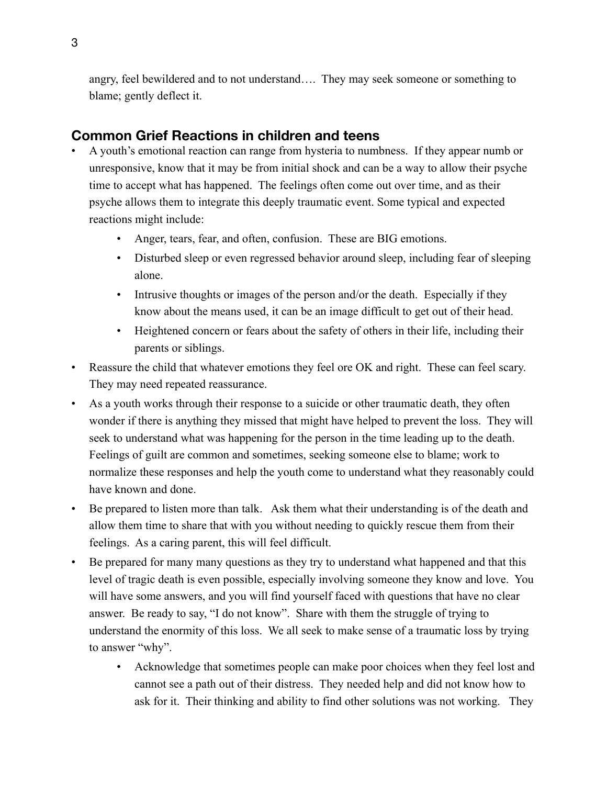angry, feel bewildered and to not understand…. They may seek someone or something to blame; gently deflect it.

### **Common Grief Reactions in children and teens**

- A youth's emotional reaction can range from hysteria to numbness. If they appear numb or unresponsive, know that it may be from initial shock and can be a way to allow their psyche time to accept what has happened. The feelings often come out over time, and as their psyche allows them to integrate this deeply traumatic event. Some typical and expected reactions might include:
	- Anger, tears, fear, and often, confusion. These are BIG emotions.
	- Disturbed sleep or even regressed behavior around sleep, including fear of sleeping alone.
	- Intrusive thoughts or images of the person and/or the death. Especially if they know about the means used, it can be an image difficult to get out of their head.
	- Heightened concern or fears about the safety of others in their life, including their parents or siblings.
- Reassure the child that whatever emotions they feel ore OK and right. These can feel scary. They may need repeated reassurance.
- As a youth works through their response to a suicide or other traumatic death, they often wonder if there is anything they missed that might have helped to prevent the loss. They will seek to understand what was happening for the person in the time leading up to the death. Feelings of guilt are common and sometimes, seeking someone else to blame; work to normalize these responses and help the youth come to understand what they reasonably could have known and done.
- Be prepared to listen more than talk. Ask them what their understanding is of the death and allow them time to share that with you without needing to quickly rescue them from their feelings. As a caring parent, this will feel difficult.
- Be prepared for many many questions as they try to understand what happened and that this level of tragic death is even possible, especially involving someone they know and love. You will have some answers, and you will find yourself faced with questions that have no clear answer. Be ready to say, "I do not know". Share with them the struggle of trying to understand the enormity of this loss. We all seek to make sense of a traumatic loss by trying to answer "why".
	- Acknowledge that sometimes people can make poor choices when they feel lost and cannot see a path out of their distress. They needed help and did not know how to ask for it. Their thinking and ability to find other solutions was not working. They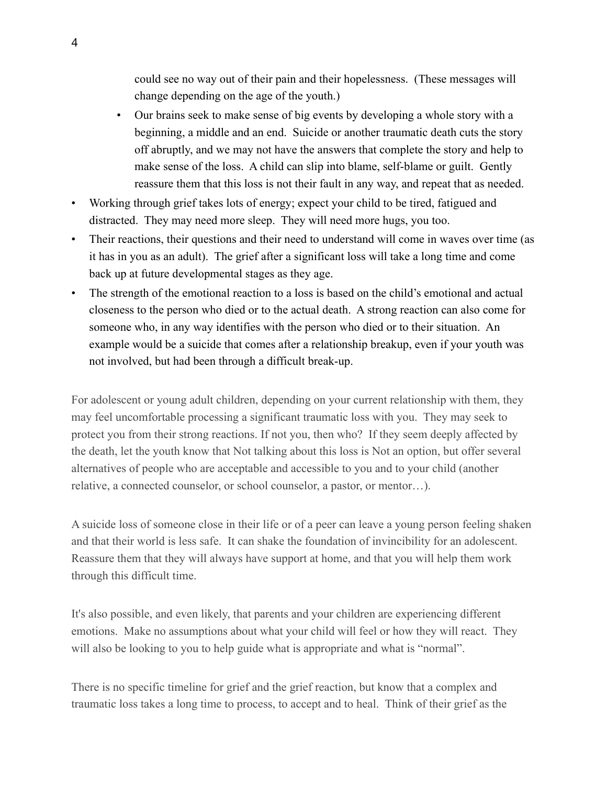could see no way out of their pain and their hopelessness. (These messages will change depending on the age of the youth.)

- Our brains seek to make sense of big events by developing a whole story with a beginning, a middle and an end. Suicide or another traumatic death cuts the story off abruptly, and we may not have the answers that complete the story and help to make sense of the loss. A child can slip into blame, self-blame or guilt. Gently reassure them that this loss is not their fault in any way, and repeat that as needed.
- Working through grief takes lots of energy; expect your child to be tired, fatigued and distracted. They may need more sleep. They will need more hugs, you too.
- Their reactions, their questions and their need to understand will come in waves over time (as it has in you as an adult). The grief after a significant loss will take a long time and come back up at future developmental stages as they age.
- The strength of the emotional reaction to a loss is based on the child's emotional and actual closeness to the person who died or to the actual death. A strong reaction can also come for someone who, in any way identifies with the person who died or to their situation. An example would be a suicide that comes after a relationship breakup, even if your youth was not involved, but had been through a difficult break-up.

For adolescent or young adult children, depending on your current relationship with them, they may feel uncomfortable processing a significant traumatic loss with you. They may seek to protect you from their strong reactions. If not you, then who? If they seem deeply affected by the death, let the youth know that Not talking about this loss is Not an option, but offer several alternatives of people who are acceptable and accessible to you and to your child (another relative, a connected counselor, or school counselor, a pastor, or mentor…).

A suicide loss of someone close in their life or of a peer can leave a young person feeling shaken and that their world is less safe. It can shake the foundation of invincibility for an adolescent. Reassure them that they will always have support at home, and that you will help them work through this difficult time.

It's also possible, and even likely, that parents and your children are experiencing different emotions. Make no assumptions about what your child will feel or how they will react. They will also be looking to you to help guide what is appropriate and what is "normal".

There is no specific timeline for grief and the grief reaction, but know that a complex and traumatic loss takes a long time to process, to accept and to heal. Think of their grief as the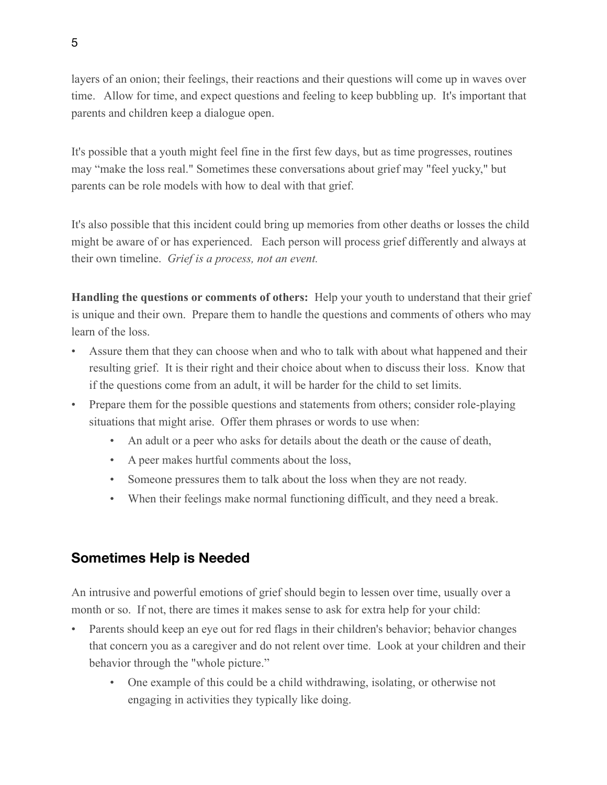layers of an onion; their feelings, their reactions and their questions will come up in waves over time. Allow for time, and expect questions and feeling to keep bubbling up. It's important that parents and children keep a dialogue open.

It's possible that a youth might feel fine in the first few days, but as time progresses, routines may "make the loss real." Sometimes these conversations about grief may "feel yucky," but parents can be role models with how to deal with that grief.

It's also possible that this incident could bring up memories from other deaths or losses the child might be aware of or has experienced. Each person will process grief differently and always at their own timeline. *Grief is a process, not an event.*

**Handling the questions or comments of others:** Help your youth to understand that their grief is unique and their own. Prepare them to handle the questions and comments of others who may learn of the loss.

- Assure them that they can choose when and who to talk with about what happened and their resulting grief. It is their right and their choice about when to discuss their loss. Know that if the questions come from an adult, it will be harder for the child to set limits.
- Prepare them for the possible questions and statements from others; consider role-playing situations that might arise. Offer them phrases or words to use when:
	- An adult or a peer who asks for details about the death or the cause of death,
	- A peer makes hurtful comments about the loss,
	- Someone pressures them to talk about the loss when they are not ready.
	- When their feelings make normal functioning difficult, and they need a break.

#### **Sometimes Help is Needed**

An intrusive and powerful emotions of grief should begin to lessen over time, usually over a month or so. If not, there are times it makes sense to ask for extra help for your child:

- Parents should keep an eye out for red flags in their children's behavior; behavior changes that concern you as a caregiver and do not relent over time. Look at your children and their behavior through the "whole picture."
	- One example of this could be a child withdrawing, isolating, or otherwise not engaging in activities they typically like doing.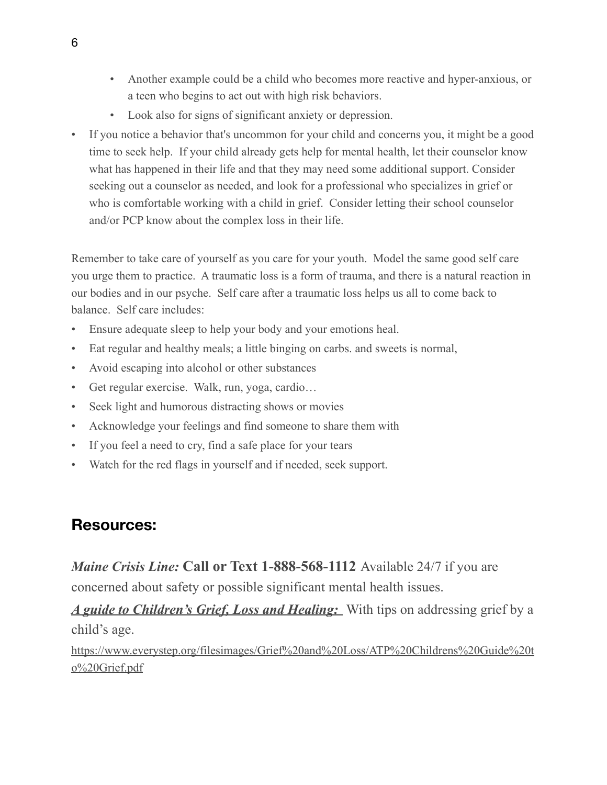- Another example could be a child who becomes more reactive and hyper-anxious, or a teen who begins to act out with high risk behaviors.
- Look also for signs of significant anxiety or depression.
- If you notice a behavior that's uncommon for your child and concerns you, it might be a good time to seek help. If your child already gets help for mental health, let their counselor know what has happened in their life and that they may need some additional support. Consider seeking out a counselor as needed, and look for a professional who specializes in grief or who is comfortable working with a child in grief. Consider letting their school counselor and/or PCP know about the complex loss in their life.

Remember to take care of yourself as you care for your youth. Model the same good self care you urge them to practice. A traumatic loss is a form of trauma, and there is a natural reaction in our bodies and in our psyche. Self care after a traumatic loss helps us all to come back to balance. Self care includes:

- Ensure adequate sleep to help your body and your emotions heal.
- Eat regular and healthy meals; a little binging on carbs, and sweets is normal,
- Avoid escaping into alcohol or other substances
- Get regular exercise. Walk, run, yoga, cardio…
- Seek light and humorous distracting shows or movies
- Acknowledge your feelings and find someone to share them with
- If you feel a need to cry, find a safe place for your tears
- Watch for the red flags in yourself and if needed, seek support.

## **Resources:**

*Maine Crisis Line:* **Call or Text 1-888-568-1112** Available 24/7 if you are concerned about safety or possible significant mental health issues.

*A guide to [Children's](https://www.everystep.org/filesimages/Grief%20and%20Loss/ATP%20Childrens%20Guide%20to%20Grief.pdf) Grief, Loss and Healing:* With tips on addressing grief by a child's age.

[https://www.everystep.org/filesimages/Grief%20and%20Loss/ATP%20Childrens%20Guide%20t](https://www.everystep.org/filesimages/Grief%20and%20Loss/ATP%20Childrens%20Guide%20to%20Grief.pdf) [o%20Grief.pdf](https://www.everystep.org/filesimages/Grief%20and%20Loss/ATP%20Childrens%20Guide%20to%20Grief.pdf)